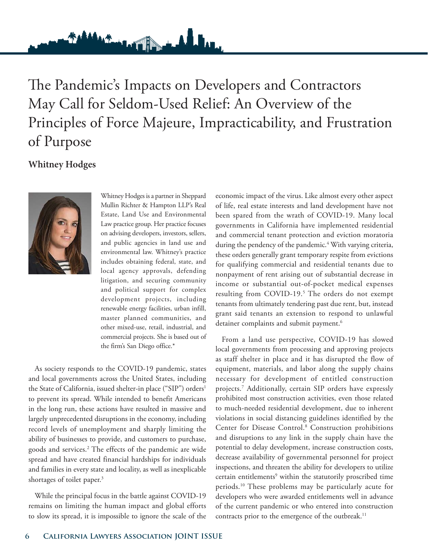The Pandemic's Impacts on Developers and Contractors May Call for Seldom-Used Relief: An Overview of the Principles of Force Majeure, Impracticability, and Frustration of Purpose

and de

<u>Windoff</u>

# **Whitney Hodges**



 Whitney Hodges is a partner in Sheppard Mullin Richter & Hampton LLP's Real Estate, Land Use and Environmental Law practice group. Her practice focuses on advising developers, investors, sellers, and public agencies in land use and environmental law. Whitney's practice includes obtaining federal, state, and local agency approvals, defending litigation, and securing community and political support for complex development projects, including renewable energy facilities, urban infill, master planned communities, and other mixed-use, retail, industrial, and commercial projects. She is based out of the firm's San Diego office.\*

As society responds to the COVID-19 pandemic, states and local governments across the United States, including the State of California, issued shelter-in place ("SIP") orders<sup>1</sup> to prevent its spread. While intended to benefit Americans in the long run, these actions have resulted in massive and largely unprecedented disruptions in the economy, including record levels of unemployment and sharply limiting the ability of businesses to provide, and customers to purchase, goods and services.2 The effects of the pandemic are wide spread and have created financial hardships for individuals and families in every state and locality, as well as inexplicable shortages of toilet paper.<sup>3</sup>

While the principal focus in the battle against COVID-19 remains on limiting the human impact and global efforts to slow its spread, it is impossible to ignore the scale of the economic impact of the virus. Like almost every other aspect of life, real estate interests and land development have not been spared from the wrath of COVID-19. Many local governments in California have implemented residential and commercial tenant protection and eviction moratoria during the pendency of the pandemic.<sup>4</sup> With varying criteria, these orders generally grant temporary respite from evictions for qualifying commercial and residential tenants due to nonpayment of rent arising out of substantial decrease in income or substantial out-of-pocket medical expenses resulting from COVID-19.<sup>5</sup> The orders do not exempt tenants from ultimately tendering past due rent, but, instead grant said tenants an extension to respond to unlawful detainer complaints and submit payment.<sup>6</sup>

From a land use perspective, COVID-19 has slowed local governments from processing and approving projects as staff shelter in place and it has disrupted the flow of equipment, materials, and labor along the supply chains necessary for development of entitled construction projects.7 Additionally, certain SIP orders have expressly prohibited most construction activities, even those related to much-needed residential development, due to inherent violations in social distancing guidelines identified by the Center for Disease Control.<sup>8</sup> Construction prohibitions and disruptions to any link in the supply chain have the potential to delay development, increase construction costs, decrease availability of governmental personnel for project inspections, and threaten the ability for developers to utilize certain entitlements<sup>9</sup> within the statutorily proscribed time periods.10 These problems may be particularly acute for developers who were awarded entitlements well in advance of the current pandemic or who entered into construction contracts prior to the emergence of the outbreak.<sup>11</sup>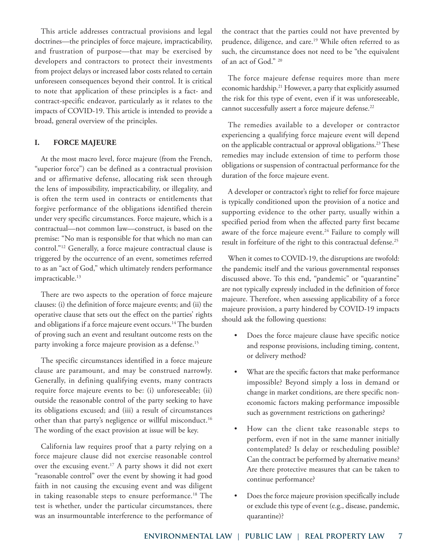This article addresses contractual provisions and legal doctrines—the principles of force majeure, impracticability, and frustration of purpose—that may be exercised by developers and contractors to protect their investments from project delays or increased labor costs related to certain unforeseen consequences beyond their control. It is critical to note that application of these principles is a fact- and contract-specific endeavor, particularly as it relates to the impacts of COVID-19. This article is intended to provide a broad, general overview of the principles.

## **I. FORCE MAJEURE**

At the most macro level, force majeure (from the French, "superior force") can be defined as a contractual provision and or affirmative defense, allocating risk seen through the lens of impossibility, impracticability, or illegality, and is often the term used in contracts or entitlements that forgive performance of the obligations identified therein under very specific circumstances. Force majeure, which is a contractual—not common law—construct, is based on the premise: "No man is responsible for that which no man can control."12 Generally, a force majeure contractual clause is triggered by the occurrence of an event, sometimes referred to as an "act of God," which ultimately renders performance impracticable.<sup>13</sup>

There are two aspects to the operation of force majeure clauses: (i) the definition of force majeure events; and (ii) the operative clause that sets out the effect on the parties' rights and obligations if a force majeure event occurs.<sup>14</sup> The burden of proving such an event and resultant outcome rests on the party invoking a force majeure provision as a defense.<sup>15</sup>

The specific circumstances identified in a force majeure clause are paramount, and may be construed narrowly. Generally, in defining qualifying events, many contracts require force majeure events to be: (i) unforeseeable; (ii) outside the reasonable control of the party seeking to have its obligations excused; and (iii) a result of circumstances other than that party's negligence or willful misconduct.<sup>16</sup> The wording of the exact provision at issue will be key.

California law requires proof that a party relying on a force majeure clause did not exercise reasonable control over the excusing event.<sup>17</sup> A party shows it did not exert "reasonable control" over the event by showing it had good faith in not causing the excusing event and was diligent in taking reasonable steps to ensure performance.<sup>18</sup> The test is whether, under the particular circumstances, there was an insurmountable interference to the performance of

the contract that the parties could not have prevented by prudence, diligence, and care.<sup>19</sup> While often referred to as such, the circumstance does not need to be "the equivalent of an act of God." 20

The force majeure defense requires more than mere economic hardship.<sup>21</sup> However, a party that explicitly assumed the risk for this type of event, even if it was unforeseeable, cannot successfully assert a force majeure defense.<sup>22</sup>

The remedies available to a developer or contractor experiencing a qualifying force majeure event will depend on the applicable contractual or approval obligations.<sup>23</sup> These remedies may include extension of time to perform those obligations or suspension of contractual performance for the duration of the force majeure event.

A developer or contractor's right to relief for force majeure is typically conditioned upon the provision of a notice and supporting evidence to the other party, usually within a specified period from when the affected party first became aware of the force majeure event.<sup>24</sup> Failure to comply will result in forfeiture of the right to this contractual defense.25

When it comes to COVID-19, the disruptions are twofold: the pandemic itself and the various governmental responses discussed above. To this end, "pandemic" or "quarantine" are not typically expressly included in the definition of force majeure. Therefore, when assessing applicability of a force majeure provision, a party hindered by COVID-19 impacts should ask the following questions:

- Does the force majeure clause have specific notice and response provisions, including timing, content, or delivery method?
- What are the specific factors that make performance impossible? Beyond simply a loss in demand or change in market conditions, are there specific noneconomic factors making performance impossible such as government restrictions on gatherings?
- How can the client take reasonable steps to perform, even if not in the same manner initially contemplated? Is delay or rescheduling possible? Can the contract be performed by alternative means? Are there protective measures that can be taken to continue performance?
- Does the force majeure provision specifically include or exclude this type of event (e.g., disease, pandemic, quarantine)?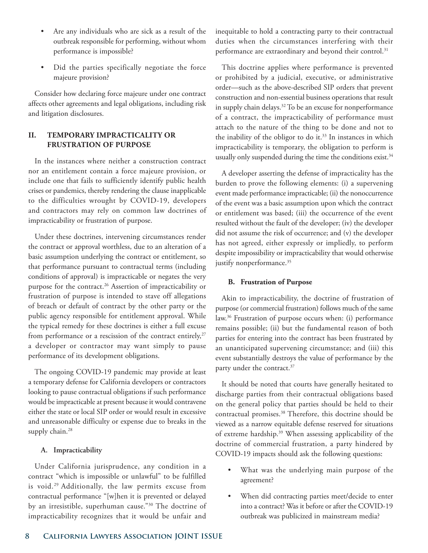- Are any individuals who are sick as a result of the outbreak responsible for performing, without whom performance is impossible?
- Did the parties specifically negotiate the force majeure provision?

Consider how declaring force majeure under one contract affects other agreements and legal obligations, including risk and litigation disclosures.

# **II. TEMPORARY IMPRACTICALITY OR FRUSTRATION OF PURPOSE**

In the instances where neither a construction contract nor an entitlement contain a force majeure provision, or include one that fails to sufficiently identify public health crises or pandemics, thereby rendering the clause inapplicable to the difficulties wrought by COVID-19, developers and contractors may rely on common law doctrines of impracticability or frustration of purpose.

Under these doctrines, intervening circumstances render the contract or approval worthless, due to an alteration of a basic assumption underlying the contract or entitlement, so that performance pursuant to contractual terms (including conditions of approval) is impracticable or negates the very purpose for the contract.<sup>26</sup> Assertion of impracticability or frustration of purpose is intended to stave off allegations of breach or default of contract by the other party or the public agency responsible for entitlement approval. While the typical remedy for these doctrines is either a full excuse from performance or a rescission of the contract entirely, $27$ a developer or contractor may want simply to pause performance of its development obligations.

The ongoing COVID-19 pandemic may provide at least a temporary defense for California developers or contractors looking to pause contractual obligations if such performance would be impracticable at present because it would contravene either the state or local SIP order or would result in excessive and unreasonable difficulty or expense due to breaks in the supply chain.<sup>28</sup>

#### **A. Impracticability**

Under California jurisprudence, any condition in a contract "which is impossible or unlawful" to be fulfilled is void.29 Additionally, the law permits excuse from contractual performance "[w]hen it is prevented or delayed by an irresistible, superhuman cause."30 The doctrine of impracticability recognizes that it would be unfair and

inequitable to hold a contracting party to their contractual duties when the circumstances interfering with their performance are extraordinary and beyond their control.<sup>31</sup>

This doctrine applies where performance is prevented or prohibited by a judicial, executive, or administrative order—such as the above-described SIP orders that prevent construction and non-essential business operations that result in supply chain delays.32 To be an excuse for nonperformance of a contract, the impracticability of performance must attach to the nature of the thing to be done and not to the inability of the obligor to do it.<sup>33</sup> In instances in which impracticability is temporary, the obligation to perform is usually only suspended during the time the conditions exist.<sup>34</sup>

A developer asserting the defense of impracticality has the burden to prove the following elements: (i) a supervening event made performance impracticable; (ii) the nonoccurrence of the event was a basic assumption upon which the contract or entitlement was based; (iii) the occurrence of the event resulted without the fault of the developer; (iv) the developer did not assume the risk of occurrence; and (v) the developer has not agreed, either expressly or impliedly, to perform despite impossibility or impracticability that would otherwise justify nonperformance.<sup>35</sup>

#### **B. Frustration of Purpose**

Akin to impracticability, the doctrine of frustration of purpose (or commercial frustration) follows much of the same law.<sup>36</sup> Frustration of purpose occurs when: (i) performance remains possible; (ii) but the fundamental reason of both parties for entering into the contract has been frustrated by an unanticipated supervening circumstance; and (iii) this event substantially destroys the value of performance by the party under the contract.<sup>37</sup>

It should be noted that courts have generally hesitated to discharge parties from their contractual obligations based on the general policy that parties should be held to their contractual promises.38 Therefore, this doctrine should be viewed as a narrow equitable defense reserved for situations of extreme hardship.39 When assessing applicability of the doctrine of commercial frustration, a party hindered by COVID-19 impacts should ask the following questions:

- What was the underlying main purpose of the agreement?
- When did contracting parties meet/decide to enter into a contract? Was it before or after the COVID-19 outbreak was publicized in mainstream media?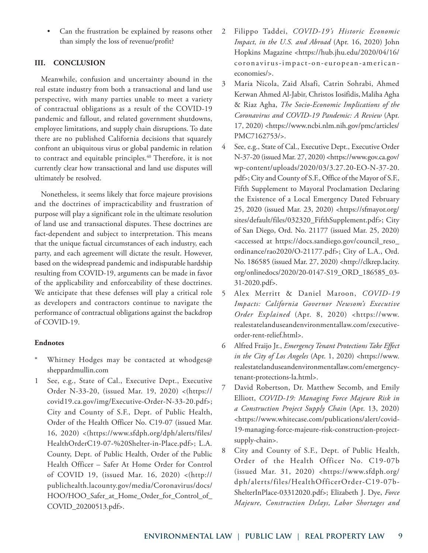• Can the frustration be explained by reasons other than simply the loss of revenue/profit?

# **III. CONCLUSION**

Meanwhile, confusion and uncertainty abound in the real estate industry from both a transactional and land use perspective, with many parties unable to meet a variety of contractual obligations as a result of the COVID-19 pandemic and fallout, and related government shutdowns, employee limitations, and supply chain disruptions. To date there are no published California decisions that squarely confront an ubiquitous virus or global pandemic in relation to contract and equitable principles.<sup>40</sup> Therefore, it is not currently clear how transactional and land use disputes will ultimately be resolved.

Nonetheless, it seems likely that force majeure provisions and the doctrines of impracticability and frustration of purpose will play a significant role in the ultimate resolution of land use and transactional disputes. These doctrines are fact-dependent and subject to interpretation. This means that the unique factual circumstances of each industry, each party, and each agreement will dictate the result. However, based on the widespread pandemic and indisputable hardship resulting from COVID-19, arguments can be made in favor of the applicability and enforceability of these doctrines. We anticipate that these defenses will play a critical role as developers and contractors continue to navigate the performance of contractual obligations against the backdrop of COVID-19.

## **Endnotes**

- Whitney Hodges may be contacted at whodges@ sheppardmullin.com
- 1 See, e.g., State of Cal., Executive Dept., Executive Order N-33-20, (issued Mar. 19, 2020) <(https:// covid19.ca.gov/img/Executive-Order-N-33-20.pdf>; City and County of S.F., Dept. of Public Health, Order of the Health Officer No. C19-07 (issued Mar. 16, 2020) <(https://www.sfdph.org/dph/alerts/files/ HealthOrderC19-07-%20Shelter-in-Place.pdf>; L.A. County, Dept. of Public Health, Order of the Public Health Officer – Safer At Home Order for Control of COVID 19, (issued Mar. 16, 2020) <(http:// publichealth.lacounty.gov/media/Coronavirus/docs/ HOO/HOO\_Safer\_at\_Home\_Order\_for\_Control\_of\_ COVID\_20200513.pdf>.
- 2 Filippo Taddei, *COVID-19's Historic Economic Impact, in the U.S. and Abroad* (Apr. 16, 2020) John Hopkins Magazine <https://hub.jhu.edu/2020/04/16/ coronavirus-impact-on-european-americaneconomies/>.
- 3 Maria Nicola, Zaid Alsafi, Catrin Sohrabi, Ahmed Kerwan Ahmed Al-Jabir, Christos Iosifidis, Maliha Agha & Riaz Agha, *The Socio-Economic Implications of the Coronavirus and COVID-19 Pandemic: A Review* (Apr. 17, 2020) <https://www.ncbi.nlm.nih.gov/pmc/articles/ PMC7162753/>.
- 4 See, e.g., State of Cal., Executive Dept., Executive Order N-37-20 (issued Mar. 27, 2020) <https://www.gov.ca.gov/ wp-content/uploads/2020/03/3.27.20-EO-N-37-20. pdf>; City and County of S.F., Office of the Mayor of S.F., Fifth Supplement to Mayoral Proclamation Declaring the Existence of a Local Emergency Dated February 25, 2020 (issued Mar. 23, 2020) <https://sfmayor.org/ sites/default/files/032320\_FifthSupplement.pdf>; City of San Diego, Ord. No. 21177 (issued Mar. 25, 2020) <accessed at https://docs.sandiego.gov/council\_reso\_ ordinance/rao2020/O-21177.pdf>; City of L.A., Ord. No. 186585 (issued Mar. 27, 2020) <http://clkrep.lacity. org/onlinedocs/2020/20-0147-S19\_ORD\_186585\_03- 31-2020.pdf>.
- 5 Alex Merritt & Daniel Maroon, *COVID-19 Impacts: California Governor Newsom's Executive Order Explained* (Apr. 8, 2020) <https://www. realestatelanduseandenvironmentallaw.com/executiveorder-rent-relief.html>.
- 6 Alfred Fraijo Jr., *Emergency Tenant Protections Take Effect in the City of Los Angeles* (Apr. 1, 2020) <https://www. realestatelanduseandenvironmentallaw.com/emergencytenant-protections-la.html>.
- 7 David Robertson, Dr. Matthew Secomb, and Emily Elliott, *COVID-19: Managing Force Majeure Risk in a Construction Project Supply Chain* (Apr. 13, 2020) <https://www.whitecase.com/publications/alert/covid-19-managing-force-majeure-risk-construction-projectsupply-chain>.
- 8 City and County of S.F., Dept. of Public Health, Order of the Health Officer No. C19-07b (issued Mar. 31, 2020) <https://www.sfdph.org/ dph/alerts/files/HealthOfficerOrder-C19-07b-ShelterInPlace-03312020.pdf>; Elizabeth J. Dye, *Force Majeure, Construction Delays, Labor Shortages and*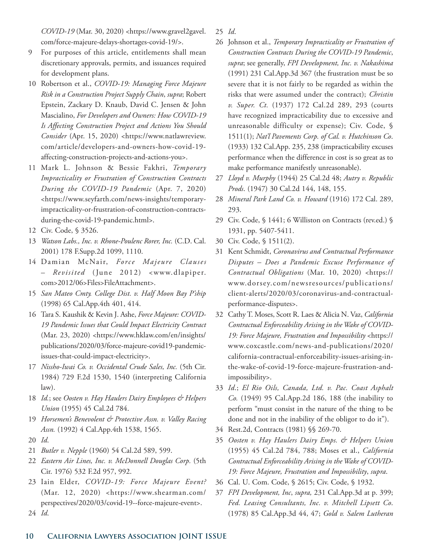*COVID-19* (Mar. 30, 2020) <https://www.gravel2gavel. com/force-majeure-delays-shortages-covid-19/>.

- 9 For purposes of this article, entitlements shall mean discretionary approvals, permits, and issuances required for development plans.
- 10 Robertson et al., *COVID-19: Managing Force Majeure Risk in a Construction Project Supply Chain*, *supra*; Robert Epstein, Zackary D. Knaub, David C. Jensen & John Mascialino, *For Developers and Owners: How COVID-19 Is Affecting Construction Project and Actions You Should Consider* (Apr. 15, 2020) <https://www.natlawreview. com/article/developers-and-owners-how-covid-19 affecting-construction-projects-and-actions-you>.
- 11 Mark L. Johnson & Bessie Fakhri, *Temporary Impracticality or Frustration of Construction Contracts During the COVID-19 Pandemic* (Apr. 7, 2020) <https://www.seyfarth.com/news-insights/temporaryimpracticality-or-frustration-of-construction-contractsduring-the-covid-19-pandemic.html>.
- 12 Civ. Code, § 3526.
- 13 *Watson Labs., Inc. v. Rhone-Poulenc Rorer, Inc.* (C.D. Cal. 2001) 178 F.Supp.2d 1099, 1110.
- 14 Damian McNair, *Force Majeure Clauses – Revisited* (June 2012) <www.dlapiper. com>2012/06>Files>FileAttachment>.
- 15 *San Mateo Cmty. College Dist. v. Half Moon Bay P'ship* (1998) 65 Cal.App.4th 401, 414.
- 16 Tara S. Kaushik & Kevin J. Ashe, *Force Majeure: COVID-19 Pandemic Issues that Could Impact Electricity Contract* (Mar. 23, 2020) <https://www.hklaw.com/en/insights/ publications/2020/03/force-majeure-covid19-pandemicissues-that-could-impact-electricity>.
- 17 *Nissho-Iwai Co. v. Occidental Crude Sales, Inc.* (5th Cir. 1984) 729 F.2d 1530, 1540 (interpreting California law).
- 18 *Id.*; see *Oosten v. Hay Haulers Dairy Employees & Helpers Union* (1955) 45 Cal.2d 784.
- 19 *Horsemen's Benevolent & Protective Assn. v. Valley Racing Assn.* (1992) 4 Cal.App.4th 1538, 1565.
- 20 *Id*.

24 *Id*.

- 21 *Butler v. Nepple* (1960) 54 Cal.2d 589, 599.
- 22 *Eastern Air Lines, Inc. v. McDonnell Douglas Corp.* (5th Cir. 1976) 532 F.2d 957, 992.
- 23 Iain Elder, *COVID-19: Force Majeure Event?* (Mar. 12, 2020) <https://www.shearman.com/ perspectives/2020/03/covid-19--force-majeure-event>.

25 *Id*.

- 26 Johnson et al., *Temporary Impracticality or Frustration of Construction Contracts During the COVID-19 Pandemic*, *supra*; see generally, *FPI Development, Inc. v. Nakashima* (1991) 231 Cal.App.3d 367 (the frustration must be so severe that it is not fairly to be regarded as within the risks that were assumed under the contract); *Christin v. Super. Ct.* (1937) 172 Cal.2d 289, 293 (courts have recognized impracticability due to excessive and unreasonable difficulty or expense); Civ. Code, § 1511(1); *Nat'l Pavements Corp. of Cal. v. Hutchinson Co*. (1933) 132 Cal.App. 235, 238 (impracticability excuses performance when the difference in cost is so great as to make performance manifestly unreasonable).
- 27 *Lloyd v. Murphy* (1944) 25 Cal.2d 48; *Autry v. Republic Prods*. (1947) 30 Cal.2d 144, 148, 155.
- 28 *Mineral Park Land Co. v. Howard* (1916) 172 Cal. 289, 293.
- 29 Civ. Code, § 1441; 6 Williston on Contracts (rev.ed.) § 1931, pp. 5407-5411.
- 30 Civ. Code, § 1511(2).
- 31 Kent Schmidt, *Coronavirus and Contractual Performance Disputes – Does a Pandemic Excuse Performance of Contractual Obligations* (Mar. 10, 2020) <https:// www.dorsey.com/newsresources/publications/ client-alerts/2020/03/coronavirus-and-contractualperformance-disputes>.
- 32 Cathy T. Moses, Scott R. Laes & Alicia N. Vaz, *California Contractual Enforceability Arising in the Wake of COVID-19: Force Majeure, Frustration and Impossibility* <https:// www.coxcastle.com/news-and-publications/2020/ california-contractual-enforceability-issues-arising-inthe-wake-of-covid-19-force-majeure-frustration-andimpossibility>.
- 33 *Id*.; *El Rio Oils, Canada, Ltd. v. Pac. Coast Asphalt Co.* (1949) 95 Cal.App.2d 186, 188 (the inability to perform "must consist in the nature of the thing to be done and not in the inability of the obligor to do it").
- 34 Rest.2d, Contracts (1981) §§ 269-70.
- 35 *Oosten v. Hay Haulers Dairy Emps. & Helpers Union* (1955) 45 Cal.2d 784, 788; Moses et al., *California Contractual Enforceability Arising in the Wake of COVID-19: Force Majeure, Frustration and Impossibility*, *supra*.
- 36 Cal. U. Com. Code, § 2615; Civ. Code, § 1932.
- 37 *FPI Development, Inc*, *supra,* 231 Cal.App.3d at p. 399; *Fed. Leasing Consultants, Inc. v. Mitchell Lipsett Co*. (1978) 85 Cal.App.3d 44, 47; *Gold v. Salem Lutheran*